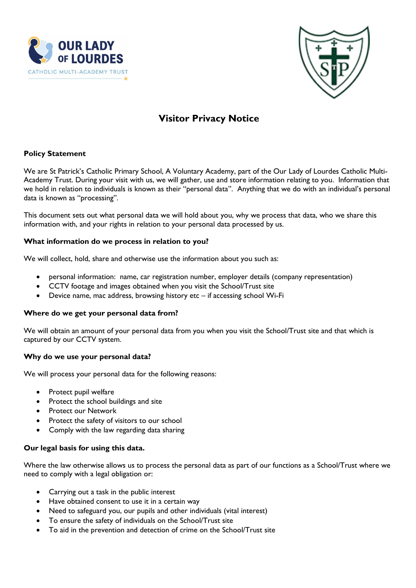



# **Visitor Privacy Notice**

## **Policy Statement**

We are St Patrick's Catholic Primary School, A Voluntary Academy, part of the Our Lady of Lourdes Catholic Multi-Academy Trust. During your visit with us, we will gather, use and store information relating to you. Information that we hold in relation to individuals is known as their "personal data". Anything that we do with an individual's personal data is known as "processing".

This document sets out what personal data we will hold about you, why we process that data, who we share this information with, and your rights in relation to your personal data processed by us.

## **What information do we process in relation to you?**

We will collect, hold, share and otherwise use the information about you such as:

- personal information: name, car registration number, employer details (company representation)
- CCTV footage and images obtained when you visit the School/Trust site
- Device name, mac address, browsing history etc if accessing school Wi-Fi

## **Where do we get your personal data from?**

We will obtain an amount of your personal data from you when you visit the School/Trust site and that which is captured by our CCTV system.

## **Why do we use your personal data?**

We will process your personal data for the following reasons:

- Protect pupil welfare
- Protect the school buildings and site
- Protect our Network
- Protect the safety of visitors to our school
- Comply with the law regarding data sharing

## **Our legal basis for using this data.**

Where the law otherwise allows us to process the personal data as part of our functions as a School/Trust where we need to comply with a legal obligation or:

- Carrying out a task in the public interest
- Have obtained consent to use it in a certain way
- Need to safeguard you, our pupils and other individuals (vital interest)
- To ensure the safety of individuals on the School/Trust site
- To aid in the prevention and detection of crime on the School/Trust site